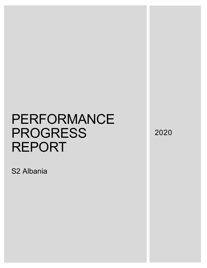S2 Albania

2020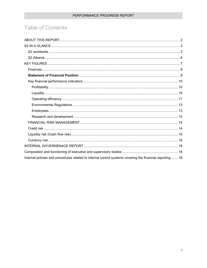# **Table of Contents**

| Internal policies and procedures related to internal control systems covering the financial reporting 18 |
|----------------------------------------------------------------------------------------------------------|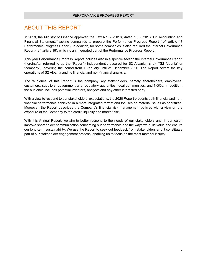# <span id="page-2-0"></span>ABOUT THIS REPORT

In 2018, the Ministry of Finance approved the Law No. 25/2018, dated 10.05.2018 "On Accounting and Financial Statements" asking companies to prepare the Performance Progress Report (ref: article 17 Performance Progress Report). In addition, for some companies is also required the Internal Governance Report (ref: article 19), which is an integrated part of the Performance Progress Report.

This year Performance Progress Report includes also in a specific section the Internal Governance Report (hereinafter referred to as the "Report") independently assured for S2 Albanian shpk ("S2 Albania" or "company"), covering the period from 1 January until 31 December 2020. The Report covers the key operations of S2 Albania and its financial and non-financial analysis.

The 'audience' of this Report is the company key stakeholders, namely shareholders, employees, customers, suppliers, government and regulatory authorities, local communities, and NGOs. In addition, the audience includes potential investors, analysts and any other interested party.

With a view to respond to our stakeholders' expectations, the 2020 Report presents both financial and nonfinancial performance achieved in a more integrated format and focuses on material issues as prioritized. Moreover, the Report describes the Company's financial risk management policies with a view on the exposure of the Company to the credit, liquidity and market risk.

With this Annual Report, we aim to better respond to the needs of our stakeholders and, in particular, improve shareholder communication concerning our performance and the ways we build value and ensure our long-term sustainability. We use the Report to seek out feedback from stakeholders and it constitutes part of our stakeholder engagement process, enabling us to focus on the most material issues.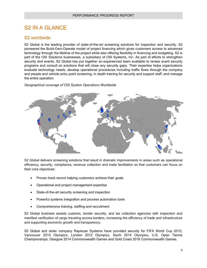# <span id="page-3-0"></span>S2 IN A GLANCE

# <span id="page-3-1"></span>S2 worldwide

S2 Global is the leading provider of state-of-the-art screening solutions for inspection and security. S2 pioneered the Build-Own-Operate model of project financing which gives customers access to advanced technology through the lifetime of the project while also offering flexibility in financing and budgeting. S2 is part of the OSI Solutions businesses, a subsidiary of OSI Systems, Inc. As part of efforts to strengthen security and events, S2 Global has put together an experienced team available to review event security programs and consult on solutions that will close any security gaps. Their expertise helps organizations evaluate technology needs, develop operational procedures including traffic flows through the company and people and vehicle entry point screening, in depth training for security and support staff, and manage the entire operation.

*Geographical coverage of OSI System Operations Worldwide*



S2 Global delivers screening solutions that result in dramatic improvements in areas such as operational efficiency, security, compliance, revenue collection and trade facilitation so that customers can focus on their core objectives:

- [Proven track record](http://www.screeningsolution.com/case-studies/) helping customers achieve their goals
- Operational and project management expertise
- [State-of-the-art security screening](http://www.screeningsolution.com/screening/) and inspection
- [Powerful systems integration](http://www.screeningsolution.com/integration/) and process automation tools
- [Comprehensive training,](http://www.screeningsolution.com/training/) staffing and recruitment

S2 Global business assists customs, border security, and tax collection agencies with inspection and manifest verification of cargo traveling across borders, increasing the efficiency of trade and infrastructure and supporting economic growth and transparency.

S2 Global and sister company Rapiscan Systems have provided security for FIFA World Cup 2010, Vancouver 2010 Olympics, London 2012 Olympics, Sochi 2014 Olympics, U.S. Open Tennis Championships, Glasgow 2014 Commonwealth Games and Gold Coast 2018 Commonwealth Games.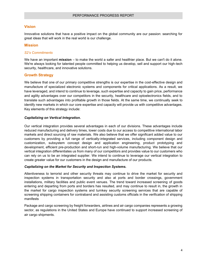#### **Vision**

Innovative solutions that have a positive impact on the global community are our passion: searching for great ideas that will work in the real world is our challenge.

#### **Mission**

#### *S2's Commitments*

We have an important **mission** – to make the world a safer and healthier place. But we can't do it alone. We're always looking for talented people committed to helping us develop, sell and support our high-tech security, healthcare, and innovative solutions.

#### **Growth Strategy**

We believe that one of our primary competitive strengths is our expertise in the cost-effective design and manufacture of specialized electronic systems and components for critical applications. As a result, we have leveraged, and intend to continue to leverage, such expertise and capacity to gain price, performance and agility advantages over our competitors in the security, healthcare and optoelectronics fields, and to translate such advantages into profitable growth in those fields. At the same time, we continually seek to identify new markets in which our core expertise and capacity will provide us with competitive advantages. Key elements of this strategy include:

#### *Capitalizing on Vertical Integration.*

Our vertical integration provides several advantages in each of our divisions. These advantages include reduced manufacturing and delivery times, lower costs due to our access to competitive international labor markets and direct sourcing of raw materials. We also believe that we offer significant added value to our customers by providing a full range of vertically-integrated services, including component design and customization, subsystem concept design and application engineering, product prototyping and development, efficient pre-production and short-run and high-volume manufacturing. We believe that our vertical integration differentiates us from many of our competitors and provides value to our customers who can rely on us to be an integrated supplier. We intend to continue to leverage our vertical integration to create greater value for our customers in the design and manufacture of our products.

#### *Capitalizing on the Market for Security and Inspection Systems.*

Attentiveness to terrorist and other security threats may continue to drive the market for security and inspection systems in transportation security and also at ports and border crossings, government installations, military facilities and public event venues. The trend toward increased screening of goods entering and departing from ports and borders has resulted, and may continue to result in, the growth in the market for cargo inspection systems and turnkey security screening services that are capable of screening shipping containers for contraband and assisting customs officials in the verification of shipping manifests

Package and cargo screening by freight forwarders, airlines and air cargo companies represents a growing sector, as regulations in the United States and Europe have continued to support increased screening of air cargo shipments.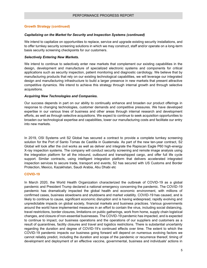#### **Growth Strategy (continued)**

#### *Capitalizing on the Market for Security and Inspection Systems (continued)*

We intend to capitalize on opportunities to replace, service and upgrade existing security installations, and to offer turnkey security screening solutions in which we may construct, staff and/or operate on a long-term basis security screening checkpoints for our customers.

#### *Selectively Entering New Markets.*

We intend to continue to selectively enter new markets that complement our existing capabilities in the design, development and manufacture of specialized electronic systems and components for critical applications such as security inspection, patient monitoring and diagnostic cardiology. We believe that by manufacturing products that rely on our existing technological capabilities, we will leverage our integrated design and manufacturing infrastructure to build a larger presence in new markets that present attractive competitive dynamics. We intend to achieve this strategy through internal growth and through selective acquisitions.

#### *Acquiring New Technologies and Companies.*

Our success depends in part on our ability to continually enhance and broaden our product offerings in response to changing technologies, customer demands and competitive pressures. We have developed expertise in our various lines of business and other areas through internal research and development efforts, as well as through selective acquisitions. We expect to continue to seek acquisition opportunities to broaden our technological expertise and capabilities, lower our manufacturing costs and facilitate our entry into new markets.

In 2019, OSI Systems unit S2 Global has secured a contract to provide a complete turnkey screening solution for the Port of Santo Tomas de Castilla in Guatemala. As part of the new ten-year contract, S2 Global will look after the civil works as well as deliver and integrate the Rapiscan Eagle P60 high-energy X-ray inspection systems. The company will conduct security screening and remote image analysis using the integration platform for all the inbound, outbound and transshipped cargo, and offer full life cycle support. Similar contracts, using intelligent integration platform that delivers accelerated integrated inspection services to secure trade, transport and events, S2 has secured with US Customs and Border Protection, Mexico, Kazakhstan, Saudi Arabia, Abu Dhabi etc

#### **COVID-19**

In March 2020, the World Health Organization characterized the outbreak of COVID-19 as a global pandemic and President Trump declared a national emergency concerning the pandemic. The COVID-19 pandemic has dramatically impacted the global health and economic environment, with millions of confirmed cases, business slowdowns and shutdowns and market volatility. COVID-19 has caused, and is likely to continue to cause, significant economic disruption and is having widespread, rapidly evolving and unpredictable impacts on global society, financial markets and business practices. Various governments around the world have implemented measures in an effort to contain the virus, including social distancing, travel restrictions, border closures, limitations on public gatherings, work from home, supply chain logistical changes, and closure of non-essential businesses. The COVID-19 pandemic has impacted, and is expected to continue to impact, our business operations and the operations of our suppliers and customers as a result of quarantines, facility closures and travel and logistics restrictions. There is substantial uncertainty regarding the duration and degree of COVID-19's continued effects over time. The extent to which the COVID-19 pandemic impacts our business going forward will depend on numerous evolving factors we cannot reliably predict, including the duration and scope of the pandemic or recurrence thereof, timing of development and deployment of an effective vaccine, governmental, business and individuals' actions in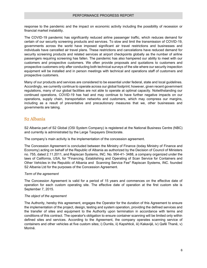response to the pandemic and the impact on economic activity including the possibility of recession or financial market instability.

The COVID-19 pandemic has significantly reduced airline passenger traffic, which reduces demand for certain of our security screening products and services. To slow and limit the transmission of COVID-19, governments across the world have imposed significant air travel restrictions and businesses and individuals have cancelled air travel plans. These restrictions and cancelations have reduced demand for security screening products and related services at airport checkpoints globally as the number of airline passengers requiring screening has fallen. The pandemic has also hampered our ability to meet with our customers and prospective customers. We often provide proposals and quotations to customers and prospective customers only after conducting both technical surveys of the site where our security inspection equipment will be installed and in person meetings with technical and operations staff of customers and prospective customers.

Many of our products and services are considered to be essential under federal, state and local guidelines. Accordingly, we currently continue to operate across our global footprint; however, given recent government regulations, many of our global facilities are not able to operate at optimal capacity. Notwithstanding our continued operations, COVID-19 has had and may continue to have further negative impacts on our operations, supply chain, transportation networks and customers, which may compress our margins, including as a result of preventative and precautionary measures that we, other businesses and governments are taking.

# <span id="page-6-0"></span>S2 Albania

S2 Albania part of S2 Global (OSI System Company) is registered at the National Business Centre (NBC) and currently is administrated by the Large Taxpayers Directorate.

The company's main activity is the implementation of the concession agreement.

The Concession Agreement is concluded between the Ministry of Finance (today Ministry of Finance and Economy) acting on behalf of the Republic of Albania as authorized by the Decision of Council of Ministers no. 755, dated 2.11.2011, and Rapiscan Systems, INC. No. 954-41- 3488, a company organized under the laws of California, USA, for "Financing, Establishing and Operating of Scan Service for Containers and Other Vehicles in the Republic of Albania and Scanning Service Fee" Rapiscan Systems, INC. founded S2 Albania Ltd for the purposes of the Concession Agreement.

#### *Term of the agreement*

The Concession Agreement is valid for a period of 15 years and commences on the effective date of operation for each custom operating site. The effective date of operation at the first custom site is September 7, 2015.

#### *The object of the agreement*

The Authority, hereby this agreement, engages the Operator for the duration of this Agreement to ensure the implementation of the project, design, testing and system operation, providing the defined services and the transfer of sites and equipment to the Authority upon termination in accordance with terms and conditions of this contract. The operator's obligation to ensure container scanning will be limited only within defined sites and services. According to the Agreement, the company operates scanning service of containers and other vehicles at five custom sites; i) Durrës, ii) Kapshticë, iii) Kakavijë, iv) Qafë Thanë, v) Morinë.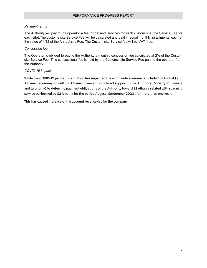#### *Payment terms*

The Authority will pay to the operator a fee for defined Services for each custom site (the Service Fee for each site).The customs site Service Fee will be calculated and paid in equal monthly installments, each at the value of 1/12 of the Annual site Fee. The Custom site Service fee will be VAT-free.

#### *Concession fee*

The Operator is obliged to pay to the Authority a monthly concession fee calculated at 2% of the Custom site Service Fee. This concessional fee is held by the Customs site Service Fee paid to the operator from the Authority.

#### <span id="page-7-0"></span>*COVID-19 impact*

While the COVID-19 pandemic situation has impacted the worldwide economic (included S2 Global ) and Albanian economy as well, S2 Albania however has offered support to the Authority (Ministry of Finance and Economy) by deferring payment obligations of the Authority toward S2 Albania related with scanning service performed by S2 Albania for the period August -September 2020 , for more than one year.

This has caused increase of the account receivables for the company.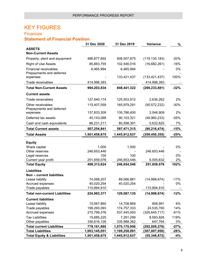# KEY FIGURES

# <span id="page-8-0"></span>**Finances Statement of Financial Position**

<span id="page-8-1"></span>

|                                       | 31 Dec 2020   | 31 Dec 2019   | Variance        | %      |
|---------------------------------------|---------------|---------------|-----------------|--------|
| <b>ASSETS</b>                         |               |               |                 |        |
| <b>Non-Current Assets</b>             |               |               |                 |        |
| Property, plant and equipment         | 486,877,692   | 606,007,875   | (119, 130, 183) | $-20%$ |
| <b>Right of Use Assets</b>            | 85,863,755    | 102,546,016   | (16,682,261)    | $-16%$ |
| <b>Financial receivables</b>          | 6,465,994     | 6,465,994     |                 | 0%     |
| Prepayments and deferred              |               |               |                 |        |
| expenses                              |               | 133,421,437   | (133, 421, 437) | 100%   |
| Trade receivables                     | 414,996,393   |               | 414,996,393     |        |
| <b>Total Non-Current Assets</b>       | 994,203,834   | 848,441,322   | (269, 233, 881) | $-32%$ |
| <b>Current assets</b>                 |               |               |                 |        |
| Trade receivables                     | 127,640,174   | 125,003,912   | 2,636,262       | 2%     |
| Other receivables                     | 115,407,059   | 165,979,291   | (50, 572, 232)  | $-30%$ |
| Prepayments and deferred              |               |               |                 |        |
| expenses                              | 137,833,309   | 135,786,400   | 2,046,909       | 2%     |
| Deferred tax assets                   | 40,143,088    | 90,103,321    | (49,960,233)    | $-55%$ |
| Cash and cash equivalents             | 86,231,211    | 80,598,391    | 5,632,820       | 7%     |
| <b>Total Current assets</b>           | 507,254,841   | 597,471,315   | (90, 216, 474)  | $-15%$ |
| <b>Total Assets</b>                   | 1,501,458,675 | 1,445,912,637 | (359, 450, 355) | $-25%$ |
| <b>Equity</b>                         |               |               |                 |        |
| Share capital                         | 1,000         | 1,000         |                 | 0%     |
| Other reserves                        | 246,653,446   |               | 246,653,446     |        |
| Legal reserves                        | 100           | 100           |                 | 0%     |
| Current year profit                   | 251,659,078   | 246,653,446   | 5,005,632       | 2%     |
| <b>Total Equity</b>                   | 498,313,624   | 246,654,546   | 251,659,078     | 102%   |
| <b>Liabilities</b>                    |               |               |                 |        |
| Non - current liabilities             |               |               |                 |        |
| Lease liability                       | 74,068,207    | 89,066,881    | (14,998,674)    | $-17%$ |
| Accrued expenses                      | 40,020,254    | 40,020,254    |                 | 0%     |
| Trade payables                        | 110,894,910   |               | 110,894,910     |        |
| <b>Total non-current Liabilities</b>  | 224,983,371   | 129,087,135   | (14,998,674)    | $-12%$ |
| <b>Current liabilities</b>            |               |               |                 |        |
| Lease liability                       | 15,567,860    | 14,708,869    | 858,991         | 6%     |
| Trade payables                        | 199,293,093   | 174,757,333   | 24,535,760      | 14%    |
| Accrued expenses                      | 210,799,376   | 537,445,093   | (326, 645, 717) | $-61%$ |
| <b>Tax Liabilities</b>                | 15,885,225    | 7,291,299     | 8,593,926       | 118%   |
| Other payables                        | 336,616,126   | 335,968,362   | 647,764         | 0%     |
| <b>Total current Liabilities</b>      | 778,161,680   | 1,070,170,956 | (292,009,276)   | $-27%$ |
| <b>Total Liabilities</b>              | 1,003,145,051 | 1,199,258,091 | (307, 007, 950) | -26%   |
| <b>Total Equity &amp; Liabilities</b> | 1,501,458,675 | 1,445,912,637 | (55, 348, 872)  | $-4%$  |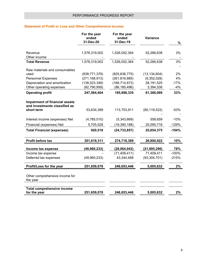### **Statement of Profit or Loss and Other Comprehensive Income**

| For the year<br>ended<br>31-Dec-20 | For the year<br>ended<br>31-Dec-19                                                                     | <b>Variance</b>                                                                      | %                                                                                            |
|------------------------------------|--------------------------------------------------------------------------------------------------------|--------------------------------------------------------------------------------------|----------------------------------------------------------------------------------------------|
|                                    |                                                                                                        |                                                                                      |                                                                                              |
|                                    | 1,526,052,364                                                                                          | 52,266,638                                                                           | 3%                                                                                           |
|                                    |                                                                                                        |                                                                                      |                                                                                              |
| 1,578,319,002                      | 1,526,052,364                                                                                          | 52,266,638                                                                           | 3%                                                                                           |
|                                    |                                                                                                        |                                                                                      |                                                                                              |
|                                    |                                                                                                        |                                                                                      | 2%                                                                                           |
|                                    |                                                                                                        |                                                                                      | 4%                                                                                           |
|                                    |                                                                                                        |                                                                                      | $-17%$                                                                                       |
| (82,790,958)                       | (86,185,496)                                                                                           |                                                                                      | $-4%$                                                                                        |
| 247,064,404                        | 185,698,335                                                                                            | 61,366,069                                                                           | 33%                                                                                          |
|                                    |                                                                                                        |                                                                                      |                                                                                              |
|                                    |                                                                                                        |                                                                                      |                                                                                              |
|                                    |                                                                                                        |                                                                                      | $-53%$                                                                                       |
|                                    |                                                                                                        |                                                                                      |                                                                                              |
| (4,785,010)                        | (5,343,669)                                                                                            | 558,659                                                                              | $-10%$                                                                                       |
| 5,705,528                          | (19, 390, 188)                                                                                         | 25,095,716                                                                           | $-129%$                                                                                      |
| 920,518                            | (24, 733, 857)                                                                                         | 25,654,375                                                                           | $-104%$                                                                                      |
|                                    |                                                                                                        |                                                                                      |                                                                                              |
| 301,619,311                        | 274,718,389                                                                                            | 26,900,922                                                                           | 10%                                                                                          |
|                                    |                                                                                                        |                                                                                      | 78%                                                                                          |
|                                    | (71, 409, 411)                                                                                         | 71,409,411                                                                           | $-100%$                                                                                      |
| (49,960,233)                       | 43,344,468                                                                                             | (93, 304, 701)                                                                       | $-215%$                                                                                      |
| 251,659,078                        | 246,653,446                                                                                            | 5,005,632                                                                            | 2%                                                                                           |
|                                    |                                                                                                        |                                                                                      |                                                                                              |
|                                    |                                                                                                        |                                                                                      |                                                                                              |
| 251,659,078                        | 246,653,446                                                                                            | 5,005,632                                                                            | 2%                                                                                           |
|                                    | 1,578,319,002<br>(838, 771, 379)<br>(271, 168, 913)<br>(138, 523, 348)<br>53,634,389<br>(49, 960, 233) | (825, 636, 775)<br>(261, 816, 885)<br>(166, 714, 873)<br>113,753,911<br>(28,064,943) | (13, 134, 604)<br>(9,352,028)<br>28,191,525<br>3,394,538<br>(60, 119, 522)<br>(21, 895, 290) |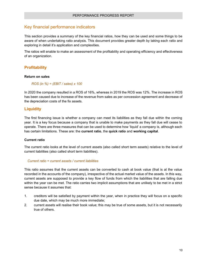# <span id="page-10-0"></span>Key financial performance indicators

This section provides a summary of the key financial ratios, how they can be used and some things to be aware of when undertaking ratio analysis. This document provides greater depth by taking each ratio and exploring in detail it's application and complexities.

The ratios will enable to make an assessment of the profitability and operating efficiency and effectiveness of an organization.

#### <span id="page-10-1"></span>**Profitability**

#### **Return on sales**

*ROS (in %) = (EBIT / sales) x 100*

In 2020 the company resulted in a ROS of 16%, whereas in 2019 the ROS was 12%. The increase in ROS has been caused due to increase of the revenue from sales as per concession agreement and decrease of the depreciation costs of the fix assets.

#### <span id="page-10-2"></span>**Liquidity**

The first financing issue is whether a company can meet its liabilities as they fall due within the coming year. It is a key focus because a company that is unable to make payments as they fall due will cease to operate. There are three measures that can be used to determine how 'liquid' a company is, although each has certain limitations. These are: the **current ratio**, the **quick ratio** and **working capital**.

#### **Current ratio**

The current ratio looks at the level of current assets (also called short term assets) relative to the level of current liabilities (also called short term liabilities).

#### *Current ratio = current assets / current liabilities*

This ratio assumes that the current assets can be converted to cash at book value (that is at the value recorded in the accounts of the company), irrespective of the actual market value of the assets. In this way, current assets are supposed to provide a key flow of funds from which the liabilities that are falling due within the year can be met. The ratio carries two implicit assumptions that are unlikely to be met in a strict sense because it assumes that:

- 1. creditors will be satisfied by payment within the year, when in practice they will focus on a specific due date, which may be much more immediate;
- 2. current assets will realise their book value; this may be true of some assets, but it is not necessarily true of others.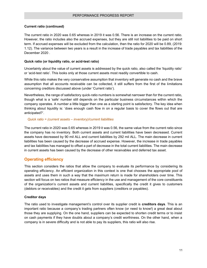#### **Current ratio (continued)**

The current ratio in 2020 was 0.65 whereas in 2019 it was 0.56. There is an increase on the current ratio. However, the ratio includes also the accrued expenses, but they are still not liabilities to be paid on short term. If accrued expenses will be excluded from the calculation, then the ratio for 2020 will be 0.89, (2019: 1.12). The variance between two years is a result in the increase of trade payables and tax liabilities of the December 2020 .

#### **Quick ratio (or liquidity ratio, or acid-test ratio)**

Uncertainty about the value of current assets is addressed by the quick ratio, also called the 'liquidity ratio' or 'acid-test ratio'. This looks only at those current assets most readily convertible to cash.

While this ratio makes the very conservative assumption that inventory will generate no cash and the brave assumption that all accounts receivable can be collected, it still suffers from the first of the limitations concerning creditors discussed above (under 'Current ratio').

Nevertheless, the range of satisfactory quick-ratio numbers is somewhat narrower than for the current ratio, though what is a 'safe' number still depends on the particular business circumstances within which the company operates. A number a little bigger than one as a starting point is satisfactory. The key idea when thinking about liquidity is: 'does enough cash flow in on a regular basis to cover the flows out that are anticipated?'.

#### *Quick ratio = (current assets – inventory)/current liabilities*

The current ratio in 2020 was 0.65 whereas in 2019 it was 0.56, the same value from the current ratio since the company has no inventory. Both current assets and current liabilities have been decreased. Current assets have decreased by 90 mil ALL and current liabilities by 292 mil ALL. The main decrease in current liabilities has been caused by the decrease of accrued expense. However, the increase in trade payables and tax liabilities has managed to offset a part of decrease in the total current liabilities. The main decrease in current assets has been caused by the decrease of other receivables and deferred tax asset.

### <span id="page-11-0"></span>**Operating efficiency**

This section considers the ratios that allow the company to evaluate its performance by considering its operating efficiency. An efficient organization in this context is one that chooses the appropriate pool of assets and uses them in such a way that the maximum return is made for shareholders over time. This section will focus on two ratios that measure efficiency in the use and management of the core constituents of the organization's current assets and current liabilities, specifically the credit it gives to customers (debtors or receivables) and the credit it gets from suppliers (creditors or payables).

#### **Creditor days**

The ratio used to investigate management's control over its supplier credit is **creditors days**. This is an important ratio because a company's trading partners often know (or need to know!) a great deal about those they are supplying. On the one hand, suppliers can be expected to shorten credit terms or to insist on cash payments if they have doubts about a company's credit worthiness. On the other hand, when a company is in severe difficulty and is not able to pay its suppliers, this ratio will also rise.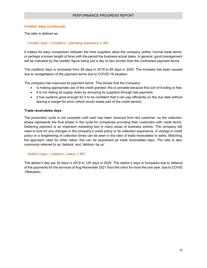#### **Creditor days (continued)**

The ratio is defined as:

#### *Creditor days = (creditors / operating expenses) x 365*

It makes for easy comparison between the time suppliers *allow* the company (either 'normal trade terms' or perhaps a known length of time) with the period the business actual *takes.* In general, good management will be indicated by the creditor figure being just a day or two *shorter* than the contracted payment terms.

The creditors days is increased from 48 days in 2019 to 85 days in 2020. The increase has been caused due to renegotiation of the payment terms due to COVID 19 situation.

The company has improved its payment terms. This shows that the Company:

- is making appropriate use of the credit granted; this is sensible because this sort of funding is free,
- it is not risking its supply chain by annoying its suppliers through late payment;
- it has systems good enough for it to be confident that it can pay efficiently on the due date without leaving a margin for error (which would waste part of the credit period).

#### **Trade receivables days**

The production cycle is not complete until cash has been received from the customer, so the collection phase represents the final phase in the cycle for companies providing their customers with credit terms. Deferring payment is an important marketing tool in many areas of business activity. The company will need to look for any changes in the company's credit policy or its collection experience. A change in credit policy or a lengthening of collection times can be seen in the ratio of trade receivables to sales. Matching the approach used for other ratios, this can be expressed as trade receivables days. The ratio is also commonly referred to as 'debtors' and 'debtors' da ys'.

#### *Debtors days = (debtors / sales) x 365*

The debtor's day are 30 days in 2019 to 125 days in 2020. The debtor's days is increased due to deferral of the payments for the services of Aug-November 2021 from the client for more the one year, due to COVID 19situation.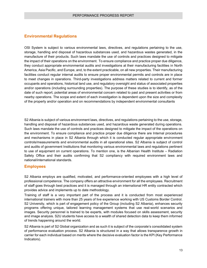### <span id="page-13-0"></span>**Environmental Regulations**

OSI System is subject to various environmental laws, directives, and regulations pertaining to the use, storage, handling and disposal of hazardous substances used, and hazardous wastes generated, in the manufacture of their products. Such laws mandate the use of controls and practices designed to mitigate the impact of their operations on the environment. To ensure compliance and practice proper due diligence, they conduct appropriate environmental audits and investigations at their manufacturing facilities in North America, Asia Pacific, and Europe, and, to the extent practicable, on all new properties. Their manufacturing facilities conduct regular internal audits to ensure proper environmental permits and controls are in place to meet changes in operations. Third-party investigations address matters related to current and former occupants and operations, historical land use, and regulatory oversight and status of associated properties and/or operations (including surrounding properties). The purpose of these studies is to identify, as of the date of such report, potential areas of environmental concern related to past and present activities or from nearby operations. The scope and extent of each investigation is dependent upon the size and complexity of the property and/or operation and on recommendations by independent environmental consultants

S2 Albania is subject of various environment laws, directives, and regulations pertaining to the use, storage, handling and disposal of hazardous substances used, and hazardous waste generated during operations. Such laws mandate the use of controls and practices designed to mitigate the impact of the operations on the environment. To ensure compliance and practice proper due diligence there are Internal procedures and mechanisms in place in S2 Albania through which it is conducted regular appropriate environment controls/measurements and environmental audits in all operational sites. S2 Albania is subject of control and audits of government Institutions that monitoring various environmental laws and regulations pertinent to use of equipment on current operations. To mention one, is the Albanian Health Institute – Radiation Safety Office and their audits confirming that S2 compliancy with required environment laws and national/international standards.

#### <span id="page-13-1"></span>**Employees**

S2 Albania employs are qualified, motivated, and performance-oriented employees with a high level of professional competence. The company offers an attractive environment for all the employees. Recruitment of staff goes through best practices and it is managed through an international HR entity contracted which provides advice and implements up to date methodology.

Training of staff is a very important part of the process and it is conducted from most experienced international trainers with more than 25 years of live experience working with US Customs Border Control. S2 University, which is part of engagement policy of the Group (including S2 Albania), enhances security programs offering unique, tailored learning management systems that use real-world scenarios and images. Security personnel is trained to be experts, with modules focused on skills assessment, security and image analysis. S2U students have access to a wealth of shared detection data to keep them informed of trends happening around the world.

S2 Albania is part of S2 Global organization and as such it is subject of the corporate's consolidated system of performance evaluation process. S2 Albania is structured in a way that allows transparence growth in carrier for each individual based on merits where the decisive evaluation factor is the KPI (Key Performance Indicators).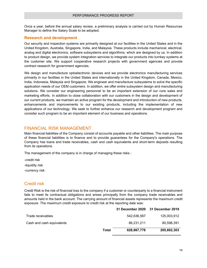Once a year, before the annual salary review, a preliminary analysis is carried out by Human Resources Manager to define the Salary Scale to be adopted.

#### <span id="page-14-0"></span>**Research and development**

Our security and inspection systems are primarily designed at our facilities in the United States and in the United Kingdom, Australia, Singapore, India, and Malaysia. These products include mechanical, electrical, analog and digital electronics, software subsystems and algorithms, which are designed by us. In addition to product design, we provide system integration services to integrate our products into turnkey systems at the customer site. We support cooperative research projects with government agencies and provide contract research for government agencies.

We design and manufacture optoelectronic devices and we provide electronics manufacturing services primarily in our facilities in the United States and internationally in the United Kingdom, Canada, Mexico, India, Indonesia, Malaysia and Singapore. We engineer and manufacture subsystems to solve the specific application needs of our OEM customers. In addition, we offer entire subsystem design and manufacturing solutions. We consider our engineering personnel to be an important extension of our core sales and marketing efforts. In addition to close collaboration with our customers in the design and development of our current products, we maintain an active program for the development and introduction of new products, enhancements and improvements to our existing products, including the implementation of new applications of our technology. We seek to further enhance our research and development program and consider such program to be an important element of our business and operations.

### <span id="page-14-1"></span>FINANCIAL RISK MANAGEMENT

Main financial liabilities of the Company consist of accounts payable and other liabilities. The main purpose of these financial liabilities is to finance and to provide guarantees for the Company's operations. The Company has loans and trade receivables, cash and cash equivalents and short-term deposits resulting from its operations.

The management of the company is in charge of managing these risks.:

-credit risk -liquidity risk -currency risk

### <span id="page-14-2"></span>Credit risk

Credit Risk is the risk of financial loss to the company if a customer or counterparty to a financial instrument fails to meet its contractual obligations and arises principally from the company trade receivables and amounts held in the bank account. The carrying amount of financial assets represents the maximum credit exposure. The maximum credit exposure to credit risk at the reporting date was:

|                           | <b>31 December 2020</b> | 31 December 2019 |
|---------------------------|-------------------------|------------------|
| Trade receivables         | 542.636.567             | 125,003,912      |
| Cash and cash equivalents | 86.231.211              | 80.598.391       |
| Total                     | 628,867,778             | 205,602,303      |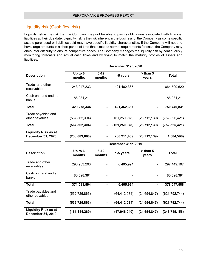# <span id="page-15-0"></span>Liquidity risk (Cash flow risk)

Liquidity risk is the risk that the Company may not be able to pay its obligations associated with financial liabilities at their due date. Liquidity risk is the risk inherent in the business of the Company as some specific assets purchased or liabilities sold may have specific liquidity characteristics. If the Company will need to have large amounts in a short period of time that exceeds normal requirements for cash, the Company may encounter difficulty to ensure competitive prices. The Company manages the liquidity risk by continuously monitoring forecasts and actual cash flows and by trying to match the maturity profiles of assets and liabilities.

| <b>Description</b>                               | Up to 6<br>months | $6 - 12$<br>months       | 1-5 years           | $>$ than 5<br>years | <b>Total</b>    |
|--------------------------------------------------|-------------------|--------------------------|---------------------|---------------------|-----------------|
| Trade and other<br>receivables                   | 243,047,233       |                          | 421,462,387         |                     | 664,509,620     |
| Cash on hand and at<br>banks                     | 86,231,211        |                          |                     |                     | 86,231,211      |
| <b>Total</b>                                     | 329,278,444       | $\blacksquare$           | 421,462,387         | $\blacksquare$      | 750,740,831     |
| Trade payables and<br>other payables             | (567, 362, 304)   |                          | (161, 250, 978)     | (23, 712, 139)      | (752, 325, 421) |
| <b>Total</b>                                     | (567, 362, 304)   | $\blacksquare$           | (161, 250, 978)     | (23, 712, 139)      | (752, 325, 421) |
| <b>Liquidity Risk as at</b><br>December 31, 2020 | (238,083,860)     |                          | 260,211,409         | (23, 712, 139)      | (1,584,590)     |
|                                                  |                   |                          | December 31st, 2019 |                     |                 |
| <b>Description</b>                               | Up to 6<br>months | $6 - 12$<br>months       | 1-5 years           | $>$ than 5<br>years | <b>Total</b>    |
| Trade and other<br>receivables                   | 290,983,203       |                          | 6,465,994           |                     | 297,449,197     |
| Cash on hand and at<br>banks                     | 80,598,391        |                          |                     |                     | 80,598,391      |
| <b>Total</b>                                     | 371,581,594       | $\blacksquare$           | 6,465,994           | $\blacksquare$      | 378,047,588     |
| Trade payables and<br>other payables             | (532, 725, 863)   | $\overline{\phantom{0}}$ | (64, 412, 034)      | (24, 654, 847)      | (621, 792, 744) |
| <b>Total</b>                                     | (532, 725, 863)   |                          | (64, 412, 034)      | (24, 654, 847)      | (621, 792, 744) |
| <b>Liquidity Risk as at</b><br>December 31, 2019 | (161, 144, 269)   |                          | (57, 946, 040)      | (24, 654, 847)      | (243, 745, 156) |

**December 31st, 2020**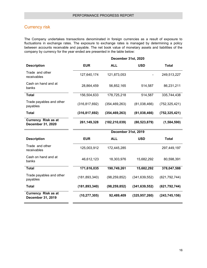# <span id="page-16-0"></span>Currency risk

The Company undertakes transactions denominated in foreign currencies as a result of exposure to fluctuations in exchange rates. The exposure to exchange rates is managed by determining a policy between accounts receivable and payable. The net book value of monetary assets and liabilities of the company by currency for the year ended are presented in the table below:

|                                                        | December 31st, 2020 |                 |                 |                 |  |
|--------------------------------------------------------|---------------------|-----------------|-----------------|-----------------|--|
| <b>Description</b>                                     | <b>EUR</b>          | <b>ALL</b>      | <b>USD</b>      | <b>Total</b>    |  |
| Trade and other<br>receivables                         | 127,640,174         | 121,873,053     |                 | 249,513,227     |  |
| Cash on hand and at<br>banks                           | 28,864,459          | 56,852,165      | 514,587         | 86,231,211      |  |
| <b>Total</b>                                           | 156,504,633         | 178,725,218     | 514,587         | 335,744,438     |  |
| Trade payables and other<br>payables                   | (316, 817, 692)     | (354, 469, 263) | (81,038,466)    | (752, 325, 421) |  |
| <b>Total</b>                                           | (316, 817, 692)     | (354, 469, 263) | (81,038,466)    | (752, 325, 421) |  |
| <b>Currency Risk as at</b><br><b>December 31, 2020</b> | 261,149,328         | (182, 210, 039) | (80, 523, 879)  | (1,584,590)     |  |
|                                                        | December 31st, 2019 |                 |                 |                 |  |
| <b>Description</b>                                     | <b>EUR</b>          | <b>ALL</b>      | <b>USD</b>      | <b>Total</b>    |  |
| Trade and other<br>receivables                         | 125,003,912         | 172,445,285     |                 | 297,449,197     |  |
| Cash on hand and at<br>banks                           | 46,612,123          |                 |                 |                 |  |
|                                                        |                     | 18,303,976      | 15,682,292      | 80,598,391      |  |
| <b>Total</b>                                           | 171,616,035         | 190,749,261     | 15,682,292      | 378,047,588     |  |
| Trade payables and other<br>payables                   | (181, 893, 340)     | (98, 259, 852)  | (341, 639, 552) | (621, 792, 744) |  |
| <b>Total</b>                                           | (181, 893, 340)     | (98, 259, 852)  | (341, 639, 552) | (621, 792, 744) |  |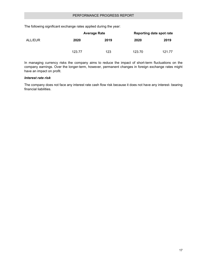The following significant exchange rates applied during the year:

| ALL/EUR |        | <b>Average Rate</b> | Reporting date spot rate |        |  |
|---------|--------|---------------------|--------------------------|--------|--|
|         | 2020   | 2019                | 2020                     | 2019   |  |
|         | 123.77 | 123                 | 123.70                   | 121.77 |  |

In managing currency risks the company aims to reduce the impact of short-term fluctuations on the company earnings. Over the longer-term, however, permanent changes in foreign exchange rates might have an impact on profit.

#### *Interest rate risk*

The company does not face any interest rate cash flow risk because it does not have any interest- bearing financial liabilities.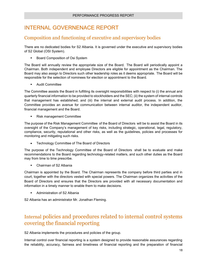# <span id="page-18-0"></span>INTERNAL GOVERNENACE REPORT

# <span id="page-18-1"></span>Composition and functioning of executive and supervisory bodies

There are no dedicated bodies for S2 Albania. It is governed under the executive and supervisory bodies of S2 Global (OSI System).

**Board Composition of Osi System** 

The Board will annually review the appropriate size of the Board. The Board will periodically appoint a Chairman. Both independent and employee Directors are eligible for appointment as the Chairman. The Board may also assign to Directors such other leadership roles as it deems appropriate. The Board will be responsible for the selection of nominees for election or appointment to the Board.

**Audit Committee** 

The Committee assists the Board in fulfilling its oversight responsibilities with respect to (i) the annual and quarterly financial information to be provided to stockholders and the SEC; (ii) the system of internal controls that management has established; and (iii) the internal and external audit process. In addition, the Committee provides an avenue for communication between internal auditor, the independent auditor, financial management and the Board.

Risk management Committee

The purpose of the Risk Management Committee of the Board of Directors will be to assist the Board in its oversight of the Company's management of key risks, including strategic, operational, legal, regulatory, compliance, security, reputational and other risks, as well as the guidelines, policies and processes for monitoring and mitigating such risks.

• Technology Committee of The Board of Directors

The purpose of the Technology Committee of the Board of Directors shall be to evaluate and make recommendations to the Board regarding technology-related matters, and such other duties as the Board may from time to time prescribe.

Chairman of S2 Albania

Chairman is appointed by the Board. The Chairman represents the company before third parties and in court, together with the directors vested with special powers. The Chairman organizes the activities of the Board of Directors and ensures that the Directors are provided with all necessary documentation and information in a timely manner to enable them to make decisions.

Administration of S2 Albania

S2 Albania has an administrator Mr. Jonathan Fleming.

# <span id="page-18-2"></span>Internal policies and procedures related to internal control systems covering the financial reporting

S2 Albania implements the procedures and policies of the group.

Internal control over financial reporting is a system designed to provide reasonable assurances regarding the reliability, accuracy, fairness and timeliness of financial reporting and the preparation of financial